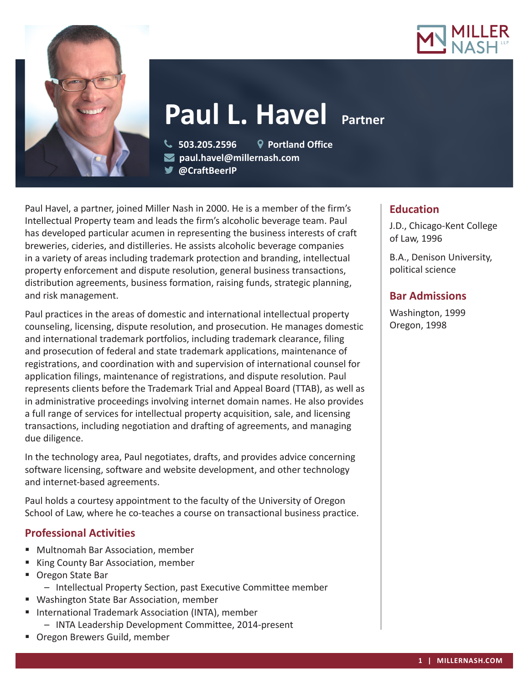



# **Paul L. Havel**

 **503.205.2596 Portland Office paul.havel@millernash.com** 

**@CraftBeerIP** 

Paul Havel, a partner, joined Miller Nash in 2000. He is a member of the firm's Intellectual Property team and leads the firm's alcoholic beverage team. Paul has developed particular acumen in representing the business interests of craft breweries, cideries, and distilleries. He assists alcoholic beverage companies in a variety of areas including trademark protection and branding, intellectual property enforcement and dispute resolution, general business transactions, distribution agreements, business formation, raising funds, strategic planning, and risk management.

Paul practices in the areas of domestic and international intellectual property counseling, licensing, dispute resolution, and prosecution. He manages domestic and international trademark portfolios, including trademark clearance, filing and prosecution of federal and state trademark applications, maintenance of registrations, and coordination with and supervision of international counsel for application filings, maintenance of registrations, and dispute resolution. Paul represents clients before the Trademark Trial and Appeal Board (TTAB), as well as in administrative proceedings involving internet domain names. He also provides a full range of services for intellectual property acquisition, sale, and licensing transactions, including negotiation and drafting of agreements, and managing due diligence.

In the technology area, Paul negotiates, drafts, and provides advice concerning software licensing, software and website development, and other technology and internet-based agreements.

Paul holds a courtesy appointment to the faculty of the University of Oregon School of Law, where he co-teaches a course on transactional business practice.

# **Professional Activities**

- Multnomah Bar Association, member
- King County Bar Association, member
- Oregon State Bar
	- Intellectual Property Section, past Executive Committee member
- Washington State Bar Association, member
- **International Trademark Association (INTA), member** – INTA Leadership Development Committee, 2014-present
- **Oregon Brewers Guild, member**

### **Education**

J.D., Chicago-Kent College of Law, 1996

B.A., Denison University, political science

# **Bar Admissions**

Washington, 1999 Oregon, 1998